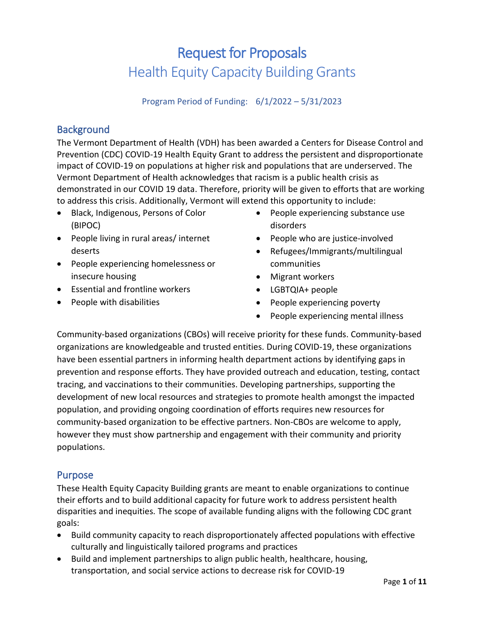# Request for Proposals Health Equity Capacity Building Grants

### Program Period of Funding: 6/1/2022 – 5/31/2023

# **Background**

The Vermont Department of Health (VDH) has been awarded a Centers for Disease Control and Prevention (CDC) COVID-19 Health Equity Grant to address the persistent and disproportionate impact of COVID-19 on populations at higher risk and populations that are underserved. The Vermont Department of Health acknowledges that racism is a public health crisis as demonstrated in our COVID 19 data. Therefore, priority will be given to efforts that are working to address this crisis. Additionally, Vermont will extend this opportunity to include:

- Black, Indigenous, Persons of Color (BIPOC)
- People living in rural areas/ internet deserts
- People experiencing homelessness or insecure housing
- Essential and frontline workers
- People with disabilities
- People experiencing substance use disorders
- People who are justice-involved
- Refugees/Immigrants/multilingual communities
- Migrant workers
- LGBTQIA+ people
- People experiencing poverty
- People experiencing mental illness

Community-based organizations (CBOs) will receive priority for these funds. Community-based organizations are knowledgeable and trusted entities. During COVID-19, these organizations have been essential partners in informing health department actions by identifying gaps in prevention and response efforts. They have provided outreach and education, testing, contact tracing, and vaccinations to their communities. Developing partnerships, supporting the development of new local resources and strategies to promote health amongst the impacted population, and providing ongoing coordination of efforts requires new resources for community-based organization to be effective partners. Non-CBOs are welcome to apply, however they must show partnership and engagement with their community and priority populations.

# Purpose

These Health Equity Capacity Building grants are meant to enable organizations to continue their efforts and to build additional capacity for future work to address persistent health disparities and inequities. The scope of available funding aligns with the following CDC grant goals:

- Build community capacity to reach disproportionately affected populations with effective culturally and linguistically tailored programs and practices
- Build and implement partnerships to align public health, healthcare, housing, transportation, and social service actions to decrease risk for COVID-19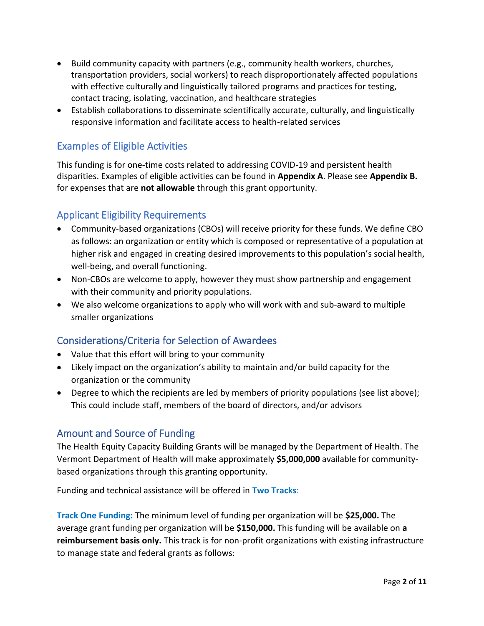- Build community capacity with partners (e.g., community health workers, churches, transportation providers, social workers) to reach disproportionately affected populations with effective culturally and linguistically tailored programs and practices for testing, contact tracing, isolating, vaccination, and healthcare strategies
- Establish collaborations to disseminate scientifically accurate, culturally, and linguistically responsive information and facilitate access to health-related services

# Examples of Eligible Activities

This funding is for one-time costs related to addressing COVID-19 and persistent health disparities. Examples of eligible activities can be found in **Appendix A**. Please see **Appendix B.** for expenses that are **not allowable** through this grant opportunity.

# Applicant Eligibility Requirements

- Community-based organizations (CBOs) will receive priority for these funds. We define CBO as follows: an organization or entity which is composed or representative of a population at higher risk and engaged in creating desired improvements to this population's social health, well-being, and overall functioning.
- Non-CBOs are welcome to apply, however they must show partnership and engagement with their community and priority populations.
- We also welcome organizations to apply who will work with and sub-award to multiple smaller organizations

# Considerations/Criteria for Selection of Awardees

- Value that this effort will bring to your community
- Likely impact on the organization's ability to maintain and/or build capacity for the organization or the community
- Degree to which the recipients are led by members of priority populations (see list above); This could include staff, members of the board of directors, and/or advisors

# Amount and Source of Funding

The Health Equity Capacity Building Grants will be managed by the Department of Health. The Vermont Department of Health will make approximately **\$5,000,000** available for communitybased organizations through this granting opportunity.

Funding and technical assistance will be offered in **Two Tracks**:

**Track One Funding:** The minimum level of funding per organization will be **\$25,000.** The average grant funding per organization will be **\$150,000.** This funding will be available on **a reimbursement basis only.** This track is for non-profit organizations with existing infrastructure to manage state and federal grants as follows: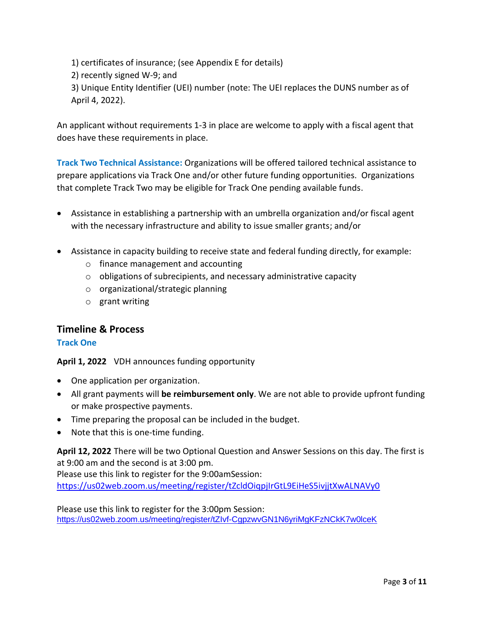1) certificates of insurance; (see Appendix E for details)

2) recently signed W-9; and

3) Unique Entity Identifier (UEI) number (note: The UEI replaces the DUNS number as of April 4, 2022).

An applicant without requirements 1-3 in place are welcome to apply with a fiscal agent that does have these requirements in place.

**Track Two Technical Assistance:** Organizations will be offered tailored technical assistance to prepare applications via Track One and/or other future funding opportunities. Organizations that complete Track Two may be eligible for Track One pending available funds.

- Assistance in establishing a partnership with an umbrella organization and/or fiscal agent with the necessary infrastructure and ability to issue smaller grants; and/or
- Assistance in capacity building to receive state and federal funding directly, for example:
	- o finance management and accounting
	- o obligations of subrecipients, and necessary administrative capacity
	- o organizational/strategic planning
	- o grant writing

# **Timeline & Process**

### **Track One**

**April 1, 2022** VDH announces funding opportunity

- One application per organization.
- All grant payments will **be reimbursement only**. We are not able to provide upfront funding or make prospective payments.
- Time preparing the proposal can be included in the budget.
- Note that this is one-time funding.

**April 12, 2022** There will be two Optional Question and Answer Sessions on this day. The first is at 9:00 am and the second is at 3:00 pm.

Please use this link to register for the 9:00amSession:

<https://us02web.zoom.us/meeting/register/tZcldOiqpjIrGtL9EiHeS5ivjjtXwALNAVy0>

Please use this link to register for the 3:00pm Session: <https://us02web.zoom.us/meeting/register/tZIvf-CgpzwvGN1N6yriMgKFzNCkK7w0lceK>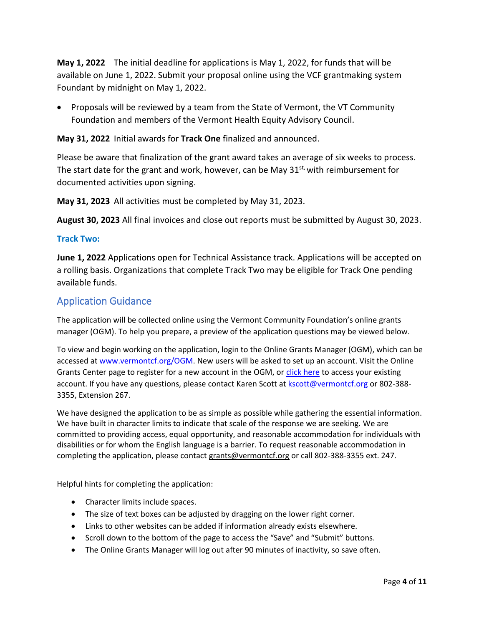**May 1, 2022** The initial deadline for applications is May 1, 2022, for funds that will be available on June 1, 2022. Submit your proposal online using the VCF grantmaking system Foundant by midnight on May 1, 2022.

• Proposals will be reviewed by a team from the State of Vermont, the VT Community Foundation and members of the Vermont Health Equity Advisory Council.

**May 31, 2022** Initial awards for **Track One** finalized and announced.

Please be aware that finalization of the grant award takes an average of six weeks to process. The start date for the grant and work, however, can be May  $31^{st}$ , with reimbursement for documented activities upon signing.

**May 31, 2023** All activities must be completed by May 31, 2023.

**August 30, 2023** All final invoices and close out reports must be submitted by August 30, 2023.

### **Track Two:**

**June 1, 2022** Applications open for Technical Assistance track. Applications will be accepted on a rolling basis. Organizations that complete Track Two may be eligible for Track One pending available funds.

### Application Guidance

The application will be collected online using the Vermont Community Foundation's online grants manager (OGM). To help you prepare, a preview of the application questions may be viewed below.

To view and begin working on the application, login to the Online Grants Manager (OGM), which can be accessed at [www.vermontcf.org/OGM.](http://www.vermontcf.org/OGM) New users will be asked to set up an account. Visit the Online Grants Center page to register for a new account in the OGM, or [click here](https://www.grantinterface.com/Home/Logon?urlkey=vermontcf) to access your existing account. If you have any questions, please contact Karen Scott a[t kscott@vermontcf.org](mailto:kscott@vermontcf.org) or 802-388-3355, Extension 267.

We have designed the application to be as simple as possible while gathering the essential information. We have built in character limits to indicate that scale of the response we are seeking. We are committed to providing access, equal opportunity, and reasonable accommodation for individuals with disabilities or for whom the English language is a barrier. To request reasonable accommodation in completing the application, please contact [grants@vermontcf.org](mailto:grants@vermontcf.org) or call [802-388-3355 ext. 247.](tel:+18023883355,222)

Helpful hints for completing the application:

- Character limits include spaces.
- The size of text boxes can be adjusted by dragging on the lower right corner.
- Links to other websites can be added if information already exists elsewhere.
- Scroll down to the bottom of the page to access the "Save" and "Submit" buttons.
- The Online Grants Manager will log out after 90 minutes of inactivity, so save often.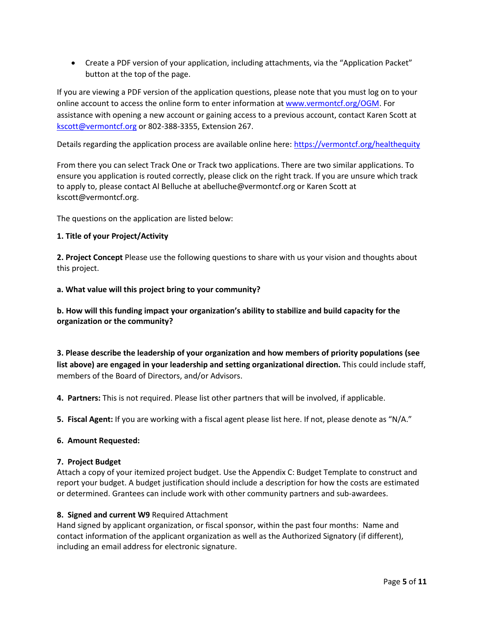• Create a PDF version of your application, including attachments, via the "Application Packet" button at the top of the page.

If you are viewing a PDF version of the application questions, please note that you must log on to your online account to access the online form to enter information a[t www.vermontcf.org/OGM.](http://www.vermontcf.org/OGM) For assistance with opening a new account or gaining access to a previous account, contact Karen Scott at [kscott@vermontcf.org](mailto:kscott@vermontcf.org) or 802-388-3355, Extension 267.

Details regarding the application process are available online here:<https://vermontcf.org/healthequity>

From there you can select Track One or Track two applications. There are two similar applications. To ensure you application is routed correctly, please click on the right track. If you are unsure which track to apply to, please contact Al Belluche at [abelluche@vermontcf.org](mailto:abelluche@vermontcf.org) or Karen Scott at [kscott@vermontcf.org.](mailto:kscott@vermontcf.org)

The questions on the application are listed below:

#### **1. Title of your Project/Activity**

**2. Project Concept** Please use the following questions to share with us your vision and thoughts about this project.

**a. What value will this project bring to your community?** 

### **b. How will this funding impact your organization's ability to stabilize and build capacity for the organization or the community?**

**3. Please describe the leadership of your organization and how members of priority populations (see list above) are engaged in your leadership and setting organizational direction.** This could include staff, members of the Board of Directors, and/or Advisors.

**4. Partners:** This is not required. Please list other partners that will be involved, if applicable.

**5. Fiscal Agent:** If you are working with a fiscal agent please list here. If not, please denote as "N/A."

#### **6. Amount Requested:**

#### **7. Project Budget**

Attach a copy of your itemized project budget. Use the Appendix C: Budget Template to construct and report your budget. A budget justification should include a description for how the costs are estimated or determined. Grantees can include work with other community partners and sub-awardees.

#### **8. Signed and current W9** Required Attachment

Hand signed by applicant organization, or fiscal sponsor, within the past four months: Name and contact information of the applicant organization as well as the Authorized Signatory (if different), including an email address for electronic signature.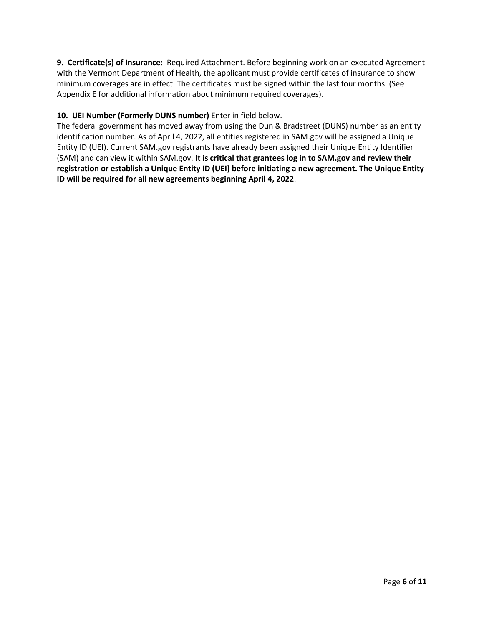**9. Certificate(s) of Insurance:** Required Attachment. Before beginning work on an executed Agreement with the Vermont Department of Health, the applicant must provide certificates of insurance to show minimum coverages are in effect. The certificates must be signed within the last four months. (See Appendix E for additional information about minimum required coverages).

### **10. UEI Number (Formerly DUNS number)** Enter in field below.

The federal government has moved away from using the Dun & Bradstreet (DUNS) number as an entity identification number. As of April 4, 2022, all entities registered in SAM.gov will be assigned a Unique Entity ID (UEI). Current SAM.gov registrants have already been assigned their Unique Entity Identifier (SAM) and can view it within SAM.gov. **It is critical that grantees log in to SAM.gov and review their registration or establish a Unique Entity ID (UEI) before initiating a new agreement. The Unique Entity ID will be required for all new agreements beginning April 4, 2022**.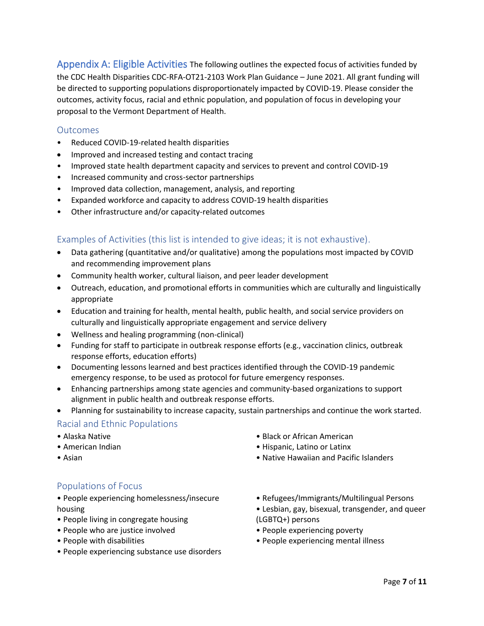Appendix A: Eligible Activities The following outlines the expected focus of activities funded by the CDC Health Disparities CDC-RFA-OT21-2103 Work Plan Guidance – June 2021. All grant funding will be directed to supporting populations disproportionately impacted by COVID-19. Please consider the outcomes, activity focus, racial and ethnic population, and population of focus in developing your proposal to the Vermont Department of Health.

### **Outcomes**

- Reduced COVID-19-related health disparities
- Improved and increased testing and contact tracing
- Improved state health department capacity and services to prevent and control COVID-19
- Increased community and cross-sector partnerships
- Improved data collection, management, analysis, and reporting
- Expanded workforce and capacity to address COVID-19 health disparities
- Other infrastructure and/or capacity-related outcomes

### Examples of Activities (this list is intended to give ideas; it is not exhaustive).

- Data gathering (quantitative and/or qualitative) among the populations most impacted by COVID and recommending improvement plans
- Community health worker, cultural liaison, and peer leader development
- Outreach, education, and promotional efforts in communities which are culturally and linguistically appropriate
- Education and training for health, mental health, public health, and social service providers on culturally and linguistically appropriate engagement and service delivery
- Wellness and healing programming (non-clinical)
- Funding for staff to participate in outbreak response efforts (e.g., vaccination clinics, outbreak response efforts, education efforts)
- Documenting lessons learned and best practices identified through the COVID-19 pandemic emergency response, to be used as protocol for future emergency responses.
- Enhancing partnerships among state agencies and community-based organizations to support alignment in public health and outbreak response efforts.
- Planning for sustainability to increase capacity, sustain partnerships and continue the work started.

### Racial and Ethnic Populations

- Alaska Native
- American Indian
- Asian
- Black or African American
- Hispanic, Latino or Latinx
- Native Hawaiian and Pacific Islanders

### Populations of Focus

• People experiencing homelessness/insecure housing

- People living in congregate housing
- People who are justice involved
- People with disabilities
- People experiencing substance use disorders
- Refugees/Immigrants/Multilingual Persons
- Lesbian, gay, bisexual, transgender, and queer (LGBTQ+) persons
- People experiencing poverty
- People experiencing mental illness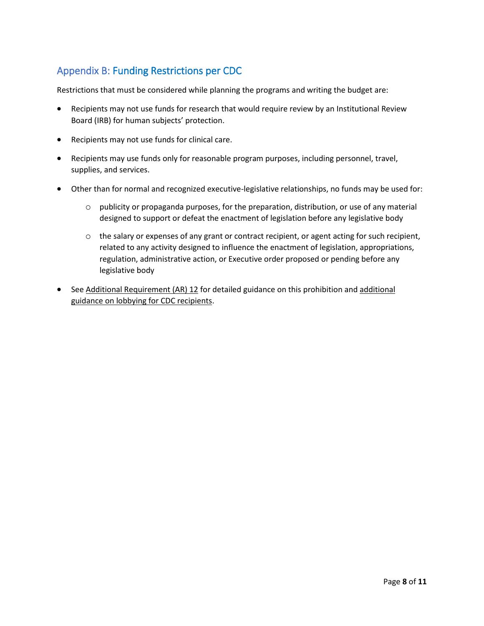# Appendix B: Funding Restrictions per CDC

Restrictions that must be considered while planning the programs and writing the budget are:

- Recipients may not use funds for research that would require review by an Institutional Review Board (IRB) for human subjects' protection.
- Recipients may not use funds for clinical care.
- Recipients may use funds only for reasonable program purposes, including personnel, travel, supplies, and services.
- Other than for normal and recognized executive-legislative relationships, no funds may be used for:
	- o publicity or propaganda purposes, for the preparation, distribution, or use of any material designed to support or defeat the enactment of legislation before any legislative body
	- $\circ$  the salary or expenses of any grant or contract recipient, or agent acting for such recipient, related to any activity designed to influence the enactment of legislation, appropriations, regulation, administrative action, or Executive order proposed or pending before any legislative body
- See Additional Requirement (AR) 12 for detailed guidance on this prohibition and additional guidance on lobbying for CDC recipients.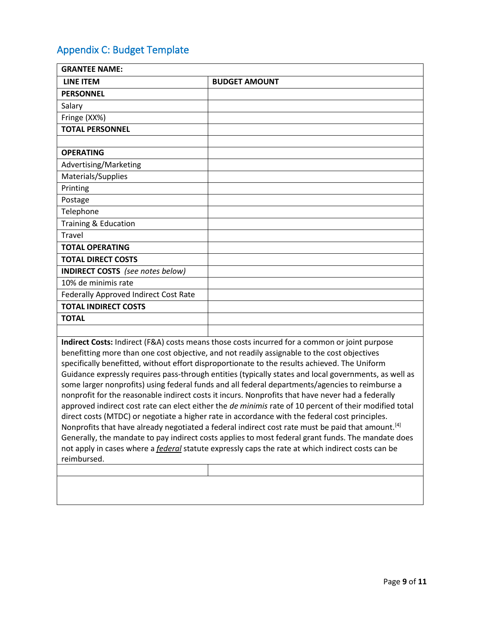# Appendix C: Budget Template

| <b>GRANTEE NAME:</b>                  |                      |
|---------------------------------------|----------------------|
| <b>LINE ITEM</b>                      | <b>BUDGET AMOUNT</b> |
| <b>PERSONNEL</b>                      |                      |
| Salary                                |                      |
| Fringe (XX%)                          |                      |
| <b>TOTAL PERSONNEL</b>                |                      |
|                                       |                      |
| <b>OPERATING</b>                      |                      |
| Advertising/Marketing                 |                      |
| Materials/Supplies                    |                      |
| Printing                              |                      |
| Postage                               |                      |
| Telephone                             |                      |
| Training & Education                  |                      |
| Travel                                |                      |
| <b>TOTAL OPERATING</b>                |                      |
| <b>TOTAL DIRECT COSTS</b>             |                      |
| INDIRECT COSTS (see notes below)      |                      |
| 10% de minimis rate                   |                      |
| Federally Approved Indirect Cost Rate |                      |
| <b>TOTAL INDIRECT COSTS</b>           |                      |
| <b>TOTAL</b>                          |                      |
|                                       |                      |

**Indirect Costs:** Indirect (F&A) costs means those costs incurred for a common or joint purpose benefitting more than one cost objective, and not readily assignable to the cost objectives specifically benefitted, without effort disproportionate to the results achieved. The Uniform Guidance expressly requires pass-through entities (typically states and local governments, as well as some larger nonprofits) using federal funds and all federal departments/agencies to reimburse a nonprofit for the reasonable indirect costs it incurs. Nonprofits that have never had a federally approved indirect cost rate can elect either the *de minimis* rate of 10 percent of their modified total direct costs (MTDC) or negotiate a higher rate in accordance with the federal cost principles. Nonprofits that have already negotiated a federal indirect cost rate must be paid that amount.<sup>[4]</sup> Generally, the mandate to pay indirect costs applies to most federal grant funds. The mandate does not apply in cases where a *federal* statute expressly caps the rate at which indirect costs can be reimbursed.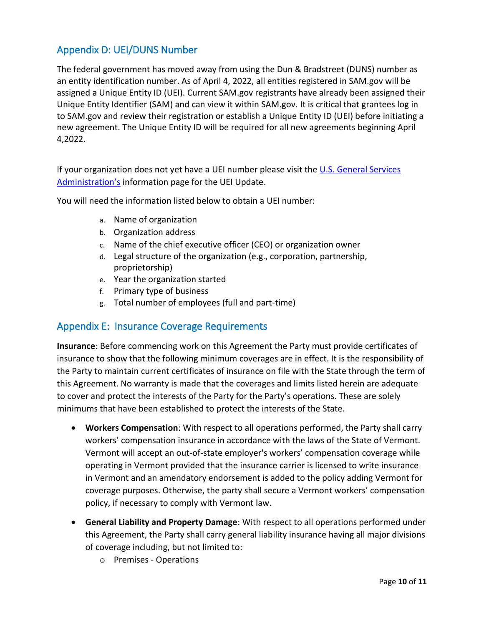# Appendix D: UEI/DUNS Number

The federal government has moved away from using the Dun & Bradstreet (DUNS) number as an entity identification number. As of April 4, 2022, all entities registered in SAM.gov will be assigned a Unique Entity ID (UEI). Current SAM.gov registrants have already been assigned their Unique Entity Identifier (SAM) and can view it within SAM.gov. It is critical that grantees log in to SAM.gov and review their registration or establish a Unique Entity ID (UEI) before initiating a new agreement. The Unique Entity ID will be required for all new agreements beginning April 4,2022.

If your organization does not yet have a UEI number please visit the U.S. General Services [Administration's](https://www.gsa.gov/about-us/organization/federal-acquisition-service/office-of-systems-management/integrated-award-environment-iae/iae-systems-information-kit/unique-entity-identifier-update) information page for the UEI Update.

You will need the information listed below to obtain a UEI number:

- a. Name of organization
- b. Organization address
- c. Name of the chief executive officer (CEO) or organization owner
- d. Legal structure of the organization (e.g., corporation, partnership, proprietorship)
- e. Year the organization started
- f. Primary type of business
- g. Total number of employees (full and part-time)

# Appendix E: Insurance Coverage Requirements

**Insurance**: Before commencing work on this Agreement the Party must provide certificates of insurance to show that the following minimum coverages are in effect. It is the responsibility of the Party to maintain current certificates of insurance on file with the State through the term of this Agreement. No warranty is made that the coverages and limits listed herein are adequate to cover and protect the interests of the Party for the Party's operations. These are solely minimums that have been established to protect the interests of the State.

- **Workers Compensation**: With respect to all operations performed, the Party shall carry workers' compensation insurance in accordance with the laws of the State of Vermont. Vermont will accept an out-of-state employer's workers' compensation coverage while operating in Vermont provided that the insurance carrier is licensed to write insurance in Vermont and an amendatory endorsement is added to the policy adding Vermont for coverage purposes. Otherwise, the party shall secure a Vermont workers' compensation policy, if necessary to comply with Vermont law.
- **General Liability and Property Damage**: With respect to all operations performed under this Agreement, the Party shall carry general liability insurance having all major divisions of coverage including, but not limited to:
	- o Premises Operations